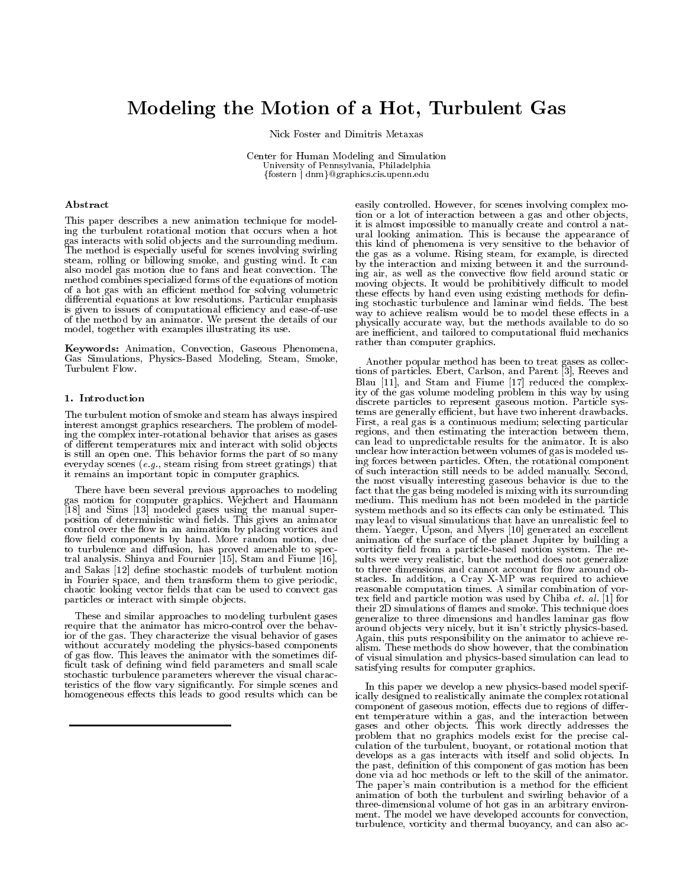# Modeling the Motion of <sup>a</sup> Hot, Turbulent Gas

Nick Foster and Dimitris Metaxas

Center for Human Modeling and Simulation University of Pennsylvania, Philadelphia ffostern j dnmg@graphics.cis.upenn.edu

# Abstract

This paper describes a new animation technique for modeling the turbulent rotational motion that occurs when a hot gas interacts with solid ob jects and the surrounding medium. The method is especially useful for scenes involving swirling steam, rolling or billowing smoke, and gusting wind. It can also model gas motion due to fans and heat convection. The method combines specialized forms of the equations of motion of a hot gas with an efficient method for solving volumetric differential equations at low resolutions. Particular emphasis is given to issues of computational efficiency and ease-of-use of the method by an animator. We present the details of our model, together with examples illustrating its use.

Keywords: Animation, Convection, Gaseous Phenomena, Gas Simulations, Physics-Based Modeling, Steam, Smoke, Turbulent Flow.

## 1. Introduction

The turbulent motion of smoke and steam has always inspired interest amongst graphics researchers. The problem of modeling the complex inter-rotational behavior that arises as gases of different temperatures mix and interact with solid objects is still an open one. This behavior forms the part of so many everyday scenes (e.g., steam rising from street gratings) that it remains an important topic in computer graphics.

There have been several previous approaches to modeling gas motion for computer graphics. Wejchert and Haumann [18] and Sims [13] modeled gases using the manual superposition of deterministic wind elds. This gives an animator control over the flow in an animation by placing vortices and flow field components by hand. More random motion, due to turbulence and diffusion, has proved amenable to spectral analysis. Shinya and Fournier [15], Stam and Fiume [16], and Sakas [12] define stochastic models of turbulent motion chaotic looking vector fields that can be used to convect gas particles or interact with simple ob jects.

These and similar approaches to modeling turbulent gases require that the animator has micro-control over the behavior of the gas. They characterize the visual behavior of gases without accurately modeling the physics-based components of gas flow. This leaves the animator with the sometimes difficult task of defining wind field parameters and small scale stochastic turbulence parameters wherever the visual characteristics of the flow vary significantly. For simple scenes and homogeneous effects this leads to good results which can be

easily controlled. However, for scenes involving complex motion or a lot of interaction between a gas and other ob jects, it is almost impossible to manually create and control a natural looking animation. This is because the appearance of this kind of phenomena is very sensitive to the behavior of the gas as a volume. Rising steam, for example, is directed by the interaction and mixing between it and the surrounding air, as well as the convective flow field around static or moving objects. It would be prohibitively difficult to model these effects by hand even using existing methods for defining stochastic turbulence and laminar wind fields. The best way to achieve realism would be to model these effects in a physically accurate way, but the methods available to do so are inefficient, and tailored to computational fluid mechanics rather than computer graphics.

in Fourier space, and then transform them to give periodic, stacles. In addition, a Cray X-MP was required to achieve<br>chaotic looking vector fields that can be used to convect gas reasonable computation times. A similar co Another popular method has been to treat gases as collections of particles. Ebert, Carlson, and Parent [3], Reeves and Blau [11], and Stam and Fiume [17] reduced the complexity of the gas volume modeling problem in this way by using discrete particles to represent gaseous motion. Particle systems are generally ecient, but have two inherent drawbacks. First, a real gas is a continuous medium; selecting particular regions, and then estimating the interaction between them, can lead to unpredictable results for the animator. It is also unclear how interaction between volumes of gas is modeled using forces between particles. Often, the rotational component of such interaction still needs to be added manually. Second, the most visually interesting gaseous behavior is due to the most visual  $\mathbf{u}$ fact that the gas being modeled is mixing with its surrounding  $\sim$ medium. This medium has not been modeled in the particle system methods and so its effects can only be estimated. This may lead to visual simulations that have an unrealistic feel to them. Yaeger, Upson, and Myers [10] generated an excellent animation of the surface of the planet Jupiter by building a vorticity field from a particle-based motion system. The results were very realistic, but the method does not generalize to three dimensions and cannot account for flow around obstacles. In addition, a Cray X-MP was required to achieve reasonable computation times. A similar combination of vor tex eld and particle motion was used by Chiba et. al. [1] for their 2D simulations of 
ames and smoke. This technique does generalize to three dimensions and handles laminar gas flow around ob jects very nicely, but it isn't strictly physics-based. Again, this puts responsibility on the animator to achieve re alism. These methods do show however, that the combination of visual simulation and physics-based simulation can lead to satisfying results for computer graphics.

> In this paper we develop a new physics-based model specifically designed to realistically animate the complex rotational component of gaseous motion, effects due to regions of different temperature within a gas, and the interaction between gases and other ob jects. This work directly addresses the problem that no graphics models exist for the precise calculation of the turbulent, buoyant, or rotational motion that develops as a gas interacts with itself and solid ob jects. In the past, definition of this component of gas motion has been done via ad hoc methods or left to the skill of the animator. The paper's main contribution is a method for the efficient animation of both the turbulent and swirling behavior of a three-dimensional volume of hot gas in an arbitrary environ ment. The model we have developed accounts for convection, turbulence, vorticity and thermal buoyancy, and can also ac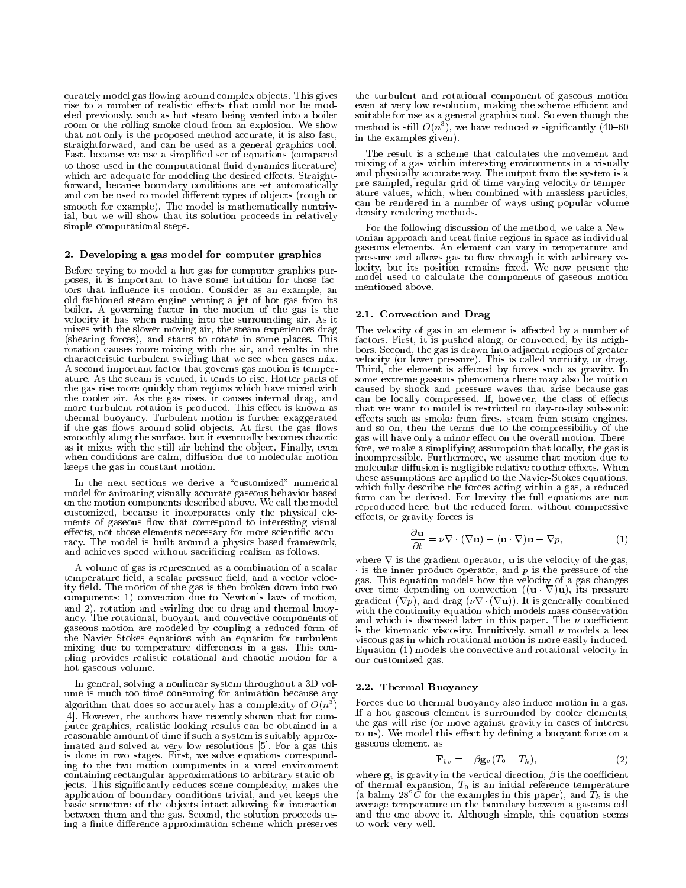curately model gas flowing around complex objects. This gives rise to a number of realistic effects that could not be modeled previously, such as hot steam being vented into a boiler room or the rolling smoke cloud from an explosion. We show that not only is the proposed method accurate, it is also fast, straightforward, and can be used as a general graphics tool. Fast, because we use a simplied set of equations (compared to those used in the computational fluid dynamics literature) which are adequate for modeling the desired effects. Straightforward, because boundary conditions are set automatically and can be used to model different types of objects (rough or smooth for example). The model is mathematically nontrivial, but we will show that its solution proceeds in relatively simple computational steps.

## 2. Developing a gas model for computer graphics

Before trying to model a hot gas for computer graphics purposes, it is important to have some intuition for those factors that in
uence its motion. Consider as an example, an old fashioned steam engine venting a jet of hot gas from its boiler. A governing factor in the motion of the gas is the velocity it has when rushing into the surrounding air. As it mixes with the slower moving air, the steam experiences drag (shearing forces), and starts to rotate in some places. This rotation causes more mixing with the air, and results in the characteristic turbulent swirling that we see when gases mix. A second important factor that governs gas motion is temperature. As the steam is vented, it tends to rise. Hotter parts of the gas rise more quickly than regions which have mixed with the cooler air. As the gas rises, it causes internal drag, and more turbulent rotation is produced. This effect is known as thermal buoyancy. Turbulent motion is further exaggerated if the gas flows around solid objects. At first the gas flows smoothly along the surface, but it eventually becomes chaotic as it mixes with the still air behind the ob ject. Finally, even when conditions are calm, diffusion due to molecular motion keeps the gas in constant motion.

In the next sections we derive a "customized" numerical model for animating visually accurate gaseous behavior based on the motion components described above. We call the model customized, because it incorporates only the physical ele ments of gaseous flow that correspond to interesting visual effects, not those elements necessary for more scientific accuracy. The model is built around a physics-based framework, and achieves speed without sacricing realism as follows.

A volume of gas is represented as a combination of a scalar temperature field, a scalar pressure field, and a vector velocity field. The motion of the gas is then broken down into two components: 1) convection due to Newton's laws of motion, and 2), rotation and swirling due to drag and thermal buoyancy. The rotational, buoyant, and convective components of gaseous motion are modeled by coupling a reduced form of the Navier-Stokes equations with an equation for turbulent mixing due to temperature differences in a gas. This coupling provides realistic rotational and chaotic motion for a hot gaseous volume.

In general, solving a nonlinear system throughout a 3D volume is much too time consuming for animation because any algorithm that does so accurately has a complexity of  $O(n^3)$ [4]. However, the authors have recently shown that for computer graphics, realistic looking results can be obtained in a reasonable amount of time if such a system is suitably approximated and solved at very low resolutions [5]. For a gas this is done in two stages. First, we solve equations corresponding to the two motion components in a voxel environment containing rectangular approximations to arbitrary static objects. This signicantly reduces scene complexity, makes the application of boundary conditions trivial, and yet keeps the basic structure of the objects intact allowing for interaction average temperature on the boundary between a gaseous cell between them and the gas. Second, the solution proceeds using a finite difference approximation scheme which preserves

the turbulent and rotational component of gaseous motion even at very low resolution, making the scheme efficient and suitable for use as a general graphics tool. So even though the method is still  $O(n^*)$ , we have reduced  $n$  significantly (40–60  $\,$ in the examples given).

The result is a scheme that calculates the movement and mixing of a gas within interesting environments in a visually and physically accurate way. The output from the system is a pre-sampled, regular grid of time varying velocity or temperature values, which, when combined with massless particles, can be rendered in a number of ways using popular volume density rendering methods.

For the following discussion of the method, we take a Newtonian approach and treat finite regions in space as individual gaseous elements. An element can vary in temperature and pressure and allows gas to flow through it with arbitrary velocity, but its position remains fixed. We now present the model used to calculate the components of gaseous motion mentioned above.

#### 2.1. Convection and Drag

The velocity of gas in an element is affected by a number of factors. First, it is pushed along, or convected, by its neighbors. Second, the gas is drawn into adjacent regions of greater velocity (or lower pressure). This is called vorticity, or drag. Third, the element is affected by forces such as gravity. In some extreme gaseous phenomena there may also be motion caused by shock and pressure waves that arise because gas can be locally compressed. If, however, the class of effects that we want to model is restricted to day-to-day sub-sonic effects such as smoke from fires, steam from steam engines, and so on, then the terms due to the compressibility of the gas will have only a minor effect on the overall motion. Therefore, we make a simplifying assumption that locally, the gas is incompressible. Furthermore, we assume that motion due to molecular diffusion is negligible relative to other effects. When these assumptions are applied to the Navier-Stokes equations, which fully describe the forces acting within a gas, a reduced form can be derived. For brevity the full equations are not reproduced here, but the reduced form, without compressive effects, or gravity forces is

$$
\frac{\partial \mathbf{u}}{\partial t} = \nu \nabla \cdot (\nabla \mathbf{u}) - (\mathbf{u} \cdot \nabla) \mathbf{u} - \nabla p,\tag{1}
$$

where  $\nabla$  is the gradient operator, **u** is the velocity of the gas, is the inner product operator, and  $p$  is the pressure of the gas. This equation models how the velocity of a gas changes over time depending on convection  $((\mathbf{u} \cdot \nabla)\mathbf{u})$ , its pressure gradient  $(\nabla p)$ , and drag  $(\nu \nabla \cdot (\nabla \mathbf{u}))$ . It is generally combined with the continuity equation which models mass conservation and which is discussed later in this paper. The  $\nu$  coefficient is the kinematic viscosity. Intuitively, small  $\nu$  models a less viscous gas in which rotational motion is more easily induced. Equation (1) models the convective and rotational velocity in our customized gas.

#### 2.2. Thermal Buoyancy

 $\hspace{0.1cm}\rule{0.7cm}{0.8cm}\hspace{0.1cm}$  If a hot gaseous element is surrounded by cooler elements, Forces due to thermal buoyancy also induce motion in a gas. the gas will rise (or move against gravity in cases of interest to us). We model this effect by defining a buoyant force on a gaseous element, as

$$
\mathbf{F}_{bv} = -\beta \mathbf{g}_v (T_0 - T_k), \tag{2}
$$

where  $\mathbf{g}_v$  is gravity in the vertical direction,  $\beta$  is the coefficient of thermal expansion,  $T_0$  is an initial reference temperature (a balmy  $28^{\circ}\dot{C}$  for the examples in this paper), and  $\dot{T}_k$  is the average temperature on the boundary between a gaseous cell and the one above it. Although simple, this equation seems  $\sim$ to work very well.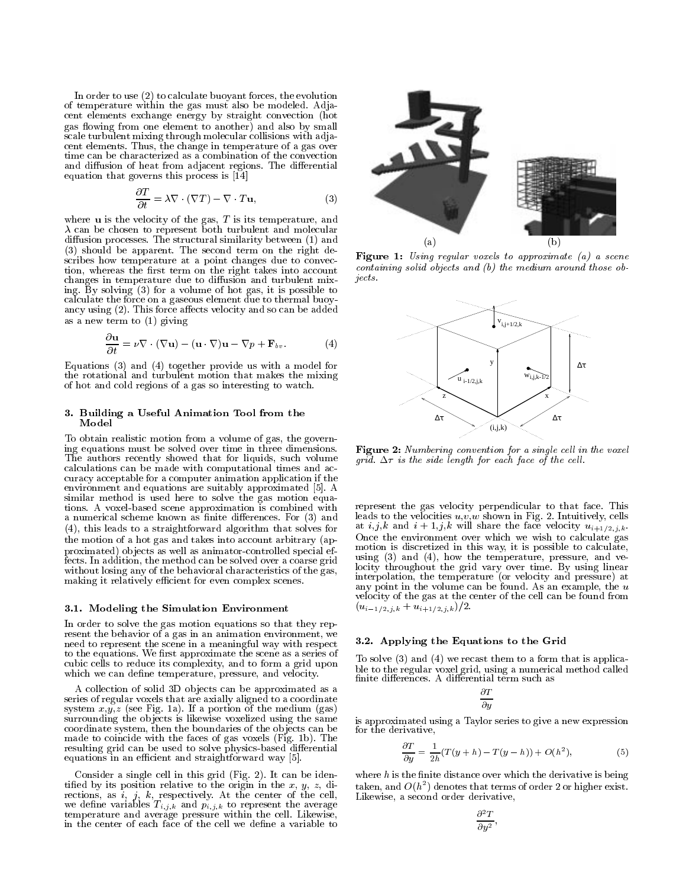In order to use (2) to calculate buoyant forces, the evolution of temperature within the gas must also be modeled. Adja cent elements exchange energy by straight convection (hot gas flowing from one element to another) and also by small scale turbulent mixing through molecular collisions with adjacent elements. Thus, the change in temperature of a gas over time can be characterized as a combination of the convection and diffusion of heat from adjacent regions. The differential equation that governs this process is [14]

$$
\frac{\partial T}{\partial t} = \lambda \nabla \cdot (\nabla T) - \nabla \cdot T \mathbf{u},\tag{3}
$$

where  $\bf{u}$  is the velocity of the gas,  $T$  is its temperature, and  $\lambda$  can be chosen to represent both turbulent and molecular diffusion processes. The structural similarity between (1) and (3) should be apparent. The second term on the right describes how temperature at a point changes due to convec tion, whereas the first term on the right takes into account  $\frac{const}{}$  changes in temperature due to diffusion and turbulent mix *jects*. changes in temperature due to diffusion and turbulent mixing. By solving (3) for a volume of hot gas, it is possible to a volume of  $\mathbb{R}^n$ calculate the force on a gaseous element due to thermal buoyancy using  $(2)$ . This force affects velocity and so can be added as a new term to (1) giving

$$
\frac{\partial \mathbf{u}}{\partial t} = \nu \nabla \cdot (\nabla \mathbf{u}) - (\mathbf{u} \cdot \nabla) \mathbf{u} - \nabla p + \mathbf{F}_{bv}.
$$
 (4)

Equations (3) and (4) together provide us with a model for the rotational and turbulent motion that makes the mixing of hot and cold regions of a gas so interesting to watch.

### 3. Building a Useful Animation Tool from the Model

To obtain realistic motion from a volume of gas, the governing equations must be solved over time in three dimensions. The authors recently showed that for liquids, such volume calculations can be made with computational times and accuracy acceptable for a computer animation application if the environment and equations are suitably approximated [5]. A similar method is used here to solve the gas motion equations. A voxel-based scene approximation is combined with a numerical scheme known as finite differences. For  $(3)$  and (4), this leads to a straightforward algorithm that solves for the motion of a hot gas and takes into account arbitrary (approximated) ob jects as well as animator-controlled special effects. In addition, the method can be solved over a coarse grid without losing any of the behavioral characteristics of the gas, making it relatively efficient for even complex scenes.

## 3.1. Modeling the Simulation Environment

In order to solve the gas motion equations so that they rep resent the behavior of a gas in an animation environment, we need to represent the scene in a meaningful way with respect to the equations. We first approximate the scene as a series of cubic cells to reduce its complexity, and to form a grid upon which we can define temperature, pressure, and velocity.

A collection of solid 3D objects can be approximated as a series of regular voxels that are axially aligned to a coordinate system  $x,y,x$  (see Fig. 1a). If  $x$  is a position of the medium (gas). surrounding the objects is likewise voxelized using the same coordinate system, then the boundaries of the ob jects can be made to coincide with the faces of gas voxels (Fig. 1b). The resulting grid can be used to solve physics-based differential equations in an efficient and straightforward way [5].

 $\mathcal{L}$  single cell in this grid (Fig. 2). It can be identically consider the identical behind of  $\mathcal{L}$ tied by its position relative to the origin in the x,y, z, directions, as  $i, j, k$ , respectively. At the center of the cell, we define variables the variables the average variables the average  $\mathbb{R}^n$  to represent the average variables the average variables the average variables the average variables the average variables of  $\mathbb{R}^n$  of th temperature and average pressure within the cell. Likewise, in the center of each face of the cell we define a variable to



Figure 1: Using regular voxels to approximate (a) a scene containing solid objects and (b) the medium around those objects.



Figure 2: Numbering convention for a single cell in the voxel grid.  $\Delta \tau$  is the side length for each face of the cell.

represent the gas velocity perpendicular to that face. This leads to the velocities  $u, v, w$  shown in Fig. 2. Intuitively, cells at  $i,j,k$  and  $i+1,j,k$  will share the face velocity  $u_{i+1/2,j,k}$ . Once the environment over which we wish to calculate gas motion is discretized in this way, it is possible to calculate, using (3) and (4), how the temperature, pressure, and velocity throughout the grid vary over time. By using linear interpolation, the temperature (or velocity and pressure) at any point in the volume can be found. As an example, the  $u$ velocity of the gas at the center of the cell can be found from  $(u_{i-1/2,j,k} + u_{i+1/2,j,k})/2.$ 

# 3.2. Applying the Equations to the Grid

To solve (3) and (4) we recast them to a form that is applica- $\mathbf{r}$  to the regular vocal grid, using a numerical method called called  $\mathbf{r}$ 

$$
\frac{\partial T}{\partial y}
$$

is approximated using a Taylor series to give a new expression for the derivative,

$$
\frac{\partial T}{\partial y} = \frac{1}{2h}(T(y+h) - T(y-h)) + O(h^2),\tag{5}
$$

where  $h$  is the finite distance over which the derivative is being taken, and  $O(n_\parallel)$  denotes that terms of order 2 or higher exist. Likewise, a second order derivative,

$$
\frac{\partial^2 T}{\partial y^2},
$$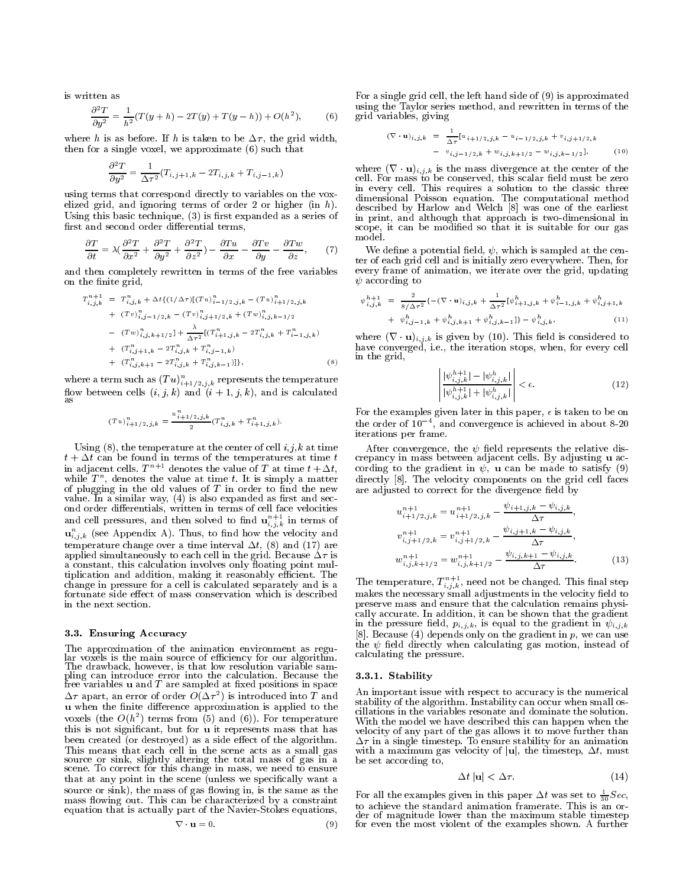is written as

$$
\frac{\partial^2 T}{\partial y^2} = \frac{1}{h^2} (T(y+h) - 2T(y) + T(y-h)) + O(h^2),
$$
 (6)

where h is as before. If h is taken to be  $\Delta \tau$ , the grid width, then for a single voxel, we approximate (6) such that

$$
\frac{\partial^2 T}{\partial y^2} = \frac{1}{\Delta \tau^2} (T_{i,j+1,k} - 2T_{i,j,k} + T_{i,j-1,k})
$$

using terms that correspond directly to variables on the vox elized grid, and ignoring terms of order 2 or higher (in h). Using this basic technique,  $(3)$  is first expanded as a series of first and second order differential terms,

$$
\frac{\partial T}{\partial t} = \lambda \left( \frac{\partial^2 T}{\partial x^2} + \frac{\partial^2 T}{\partial y^2} + \frac{\partial^2 T}{\partial z^2} \right) - \frac{\partial T u}{\partial x} - \frac{\partial T v}{\partial y} - \frac{\partial T w}{\partial z},\qquad(7)
$$

and then completely rewritten in terms of the free variables on the finite grid,

$$
T_{i,j,k}^{n+1} = T_{i,j,k}^{n} + \Delta t \{ (1/\Delta \tau) [ (Tu)_i^n 1/2, j, k - (Tu)_i^n 1/2, j, k + (Tv)_i^n 1/2, k - (Tv)_i^n 1/2, k + (Tw)_i^n 1/2, k - 1/2 - (Tw)_i^n 1/2, k + 1/2 \} + \frac{\lambda}{\Delta \tau^2} [ (T_{i+1,j,k}^n - 2T_{i,j,k}^n + T_{i-1,j,k}^n ) + (T_{i,j,k+1,k}^n - 2T_{i,j,k}^n + T_{i,j-1,k}^n ) + (T_{i,j,k+1}^n - 2T_{i,j,k}^n + T_{i,j,k-1}^n ) ] \} ,
$$
\n(8)

where a term such as  $(T\,u)_{i+1/2,\,i,k}$  represents the temperature flow between cells  $(i, j, k)$  and  $(i + 1, j, k)$ , and is calculated

$$
(Tu)^n_{i+1/2,j,k}=\frac{u^n_{i+1/2,j,k}}{2}(T^n_{i,j,k}+T^n_{i+1,j,k}).
$$

Using  $(8)$ , the temperature at the center of cell  $i, j, k$  at time  $t + \Delta t$  can be found in terms of the temperatures at time t in adjacent cells.  $T^{n+1}$  denotes the value of T at time  $t + \Delta t$ , while  $I$  , denotes the value at time  $t$ . It is simply a matter direction of plugging in the old values of  $T$  in order to find the new value. In a similar way,  $(4)$  is also expanded as first and second order differentials, written in terms of cell face velocities and cell pressures, and then solved to find  $\mathbf{u}_{i,\,j,k}^{\phantom{\dag}}$  in terms of  $\mathbf{u}_{i,j,k}$  (see Appendix A). Thus, to find how the velocity and temperature change over a time interval  $\Delta t$ , (8) and (17) are applied simultaneously to each cell in the grid. Because  $\Delta \tau$  is a constant, this calculation involves only floating point multiplication and addition, making it reasonably efficient. The change in pressure for a cell is calculated separately and is a fortunate side effect of mass conservation which is described in the next section.

## 3.3. Ensuring Accuracy

The approximation of the animation environment as regu-The drawback, however, is that low resolution variable samfree variables  $\bf{u}$  and  $\bf{T}$  are sampled at fixed positions in space  $\Delta \tau$  apart, an error of order  $O(\Delta \tau)$  is introduced into T and  $\tau$   $\tau$ ,  $\tau$ **u** when the finite difference approximation is applied to the voxels (the  $O(n)$  terms from (5) and (6)). For temperature  $N_{\rm vir}$ this is not signicant, but for u it represents mass that has been created (or destroyed) as a side effect of the algorithm. This means that each cell in the scene acts as a small gas source or sink, slightly altering the total mass of gas in a scene. To correct for this change in mass, we need to ensure that at any point in the scene (unless we specifically want a source or sink), the mass of gas flowing in, is the same as the mass flowing out. This can be characterized by a constraint equation that is actually part of the Navier-Stokes equations,

$$
\nabla \cdot \mathbf{u} = 0. \tag{9} \tag{9} \tag{8} \quad \text{for} \quad \mathbf{u} = \mathbf{0} \tag{9} \quad \text{for} \quad \mathbf{v} = \mathbf{0} \tag{9} \quad \text{for} \quad \mathbf{v} = \mathbf{0} \tag{9} \quad \text{for} \quad \mathbf{v} = \mathbf{0} \tag{9} \quad \text{for} \quad \mathbf{v} = \mathbf{0} \tag{9} \quad \text{for} \quad \mathbf{v} = \mathbf{0} \tag{9} \quad \text{for} \quad \mathbf{v} = \mathbf{0} \tag{9} \quad \text{for} \quad \mathbf{v} = \mathbf{0} \tag{9} \quad \text{for} \quad \mathbf{v} = \mathbf{0} \tag{9} \quad \text{for} \quad \mathbf{v} = \mathbf{0} \tag{9} \quad \text{for} \quad \mathbf{v} = \mathbf{0} \tag{9} \quad \text{for} \quad \mathbf{v} = \mathbf{0} \tag{9} \quad \text{for} \quad \mathbf{v} = \mathbf{0} \tag{9} \quad \text{for} \quad \mathbf{v} = \mathbf{0} \tag{9} \quad \text{for} \quad \mathbf{v} = \mathbf{0} \tag{9} \quad \text{for} \quad \mathbf{v} = \mathbf{0} \tag{9} \quad \text{for} \quad \mathbf{v} = \mathbf{0} \tag{9} \quad \text{for} \quad \mathbf{v} = \mathbf{0} \tag{9} \quad \text{for} \quad \mathbf{v} = \mathbf{0} \tag{9} \quad \text{for} \quad \mathbf{v} = \mathbf{0} \tag{9} \quad \text{for} \quad \mathbf{v} = \mathbf{0} \tag{9} \quad \text{for} \quad \mathbf{v} = \mathbf{0} \tag{9} \quad \text{for} \quad \mathbf{v} = \mathbf{0} \tag{9} \quad \text{for} \quad \mathbf{v} = \mathbf{0} \tag{9} \quad \text{for} \quad \mathbf{v} = \mathbf{0} \tag{9} \quad \text{for} \quad \mathbf{v} = \mathbf{0} \tag{9} \quad \text{for} \quad \mathbf{v} = \mathbf{0} \tag{9}
$$

 $\mathbf{v}$  ,  $\mathbf{v}$  ,  $\mathbf{v}$  ,  $\mathbf{v}$  ,  $\mathbf{v}$  ,  $\mathbf{v}$  ,  $\mathbf{v}$  ,  $\mathbf{v}$  ,  $\mathbf{v}$  ,  $\mathbf{v}$  ,  $\mathbf{v}$  ,  $\mathbf{v}$  ,  $\mathbf{v}$  ,  $\mathbf{v}$  ,  $\mathbf{v}$  ,  $\mathbf{v}$  ,  $\mathbf{v}$  ,  $\mathbf{v}$  ,  $\mathbf{v}$  ,  $\mathbf{v}$  , For a single grid cell, the left hand side of (9) is approximated using the Taylor series method, and rewritten in terms of the

$$
(\nabla \cdot \mathbf{u})_{i,j,k} = \frac{1}{\Delta \tau} [u_{i+1/2,j,k} - u_{i-1/2,j,k} + v_{i,j+1/2,k} - v_{i,j-1/2,k} + w_{i,j,k+1/2} - w_{i,j,k-1/2}],
$$
 (10)

 $m_{\rm HCC}$  (r  $\alpha_{\rm M,T,K}$  is the mass divergence at the center of the center in every cell. This requires a solution to the classic three cell. For mass to be conserved, this scalar eld must be zero dimensional Poisson equation. The computational method described by Harlow and Welch [8] was one of the earliest in print, and although that approach is two-dimensional in scope, it can be modied so that it is suitable for our gas model.

We define a potential field,  $\psi$ , which is sampled at the center of each grid cell and is initially zero everywhere. Then, for every frame of animation, we iterate over the grid, updating  $\psi$  according to

$$
\psi_{i,j,k}^{h+1} = \frac{2}{8/\Delta \tau^2} \left\{ -(\nabla \cdot \mathbf{u})_{i,j,k} + \frac{1}{\Delta \tau^2} [\psi_{i+1,j,k}^h + \psi_{i-1,j,k}^h + \psi_{i,j+1,k}^h + \psi_{i,j-1,k}^h + \psi_{i,j,k+1}^h + \psi_{i,j,k+1}^h + \psi_{i,j,k-1}^h] \right\}
$$
 (11)

 $\mathcal{L}$  is  $\mathcal{L}$  ,  $\mathcal{L}$  is given by (10). This here is considered to have converged, i.e., the iteration stops, when, for every cell in the grid,

$$
\left| \frac{|\psi_{i,j,k}^{h+1}| - |\psi_{i,j,k}^{h}|}{|\psi_{i,j,k}^{h+1}| + |\psi_{i,j,k}^{h}|} \right| < \epsilon.
$$
 (12)

For the examples given later in this paper,  $\epsilon$  is taken to be on the order of  $10^{-4}$ , and convergence is achieved in about 8-20 iterations per frame.

After convergence, the  $\psi$  field represents the relative discrepancy in mass between adjacent cells. By adjusting u ac cording to the gradient in  $\psi$ , **u** can be made to satisfy (9) directly [8]. The velocity components on the grid cell faces are adjusted to correct for the divergence field by

$$
u_{i+1/2,j,k}^{n+1} = u_{i+1/2,j,k}^{n+1} - \frac{\psi_{i+1,j,k} - \psi_{i,j,k}}{\Delta \tau},
$$
  
\n
$$
v_{i,j+1/2,k}^{n+1} = v_{i,j+1/2,k}^{n+1} - \frac{\psi_{i,j+1,k} - \psi_{i,j,k}}{\Delta \tau},
$$
  
\n
$$
w_{i,j,k+1/2}^{n+1} = w_{i,j,k+1/2}^{n+1} - \frac{\psi_{i,j,k+1} - \psi_{i,j,k}}{\Delta \tau}.
$$
\n(13)

The temperature,  $T_{i,j,k}^-$ , need not be changed. This final step makes the necessary small adjustments in the velocity field to preserve mass and ensure that the calculation remains physically accurate. In addition, it can be shown that the gradient in the pressure field,  $p_{i,j,k}$ , is equal to the gradient in  $\psi_{i,j,k}$ [8]. Because (4) depends only on the gradient in  $p$ , we can use the  $\psi$  field directly when calculating gas motion, instead of calculating the pressure.

#### 3.3.1. Stability

An important issue with respect to accuracy is the numerical stability of the algorithm. Instability can occur when small oscillations in the variables resonate and dominate the solution. With the model we have described this can happen when the velocity of any part of the gas allows it to move further than  $\Delta \tau$  in a single timestep. To ensure stability for an animation with a maximum gas velocity of  $|u|$ , the timestep,  $\Delta t$ , must be set according to,

$$
\Delta t \left| \mathbf{u} \right| < \Delta \tau. \tag{14}
$$

For all the examples given in this paper  $\Delta t$  was set to  $\frac{1}{30}Sec,$ to achieve the standard animation framerate. This is an orfor even the most violent of the examples shown. A further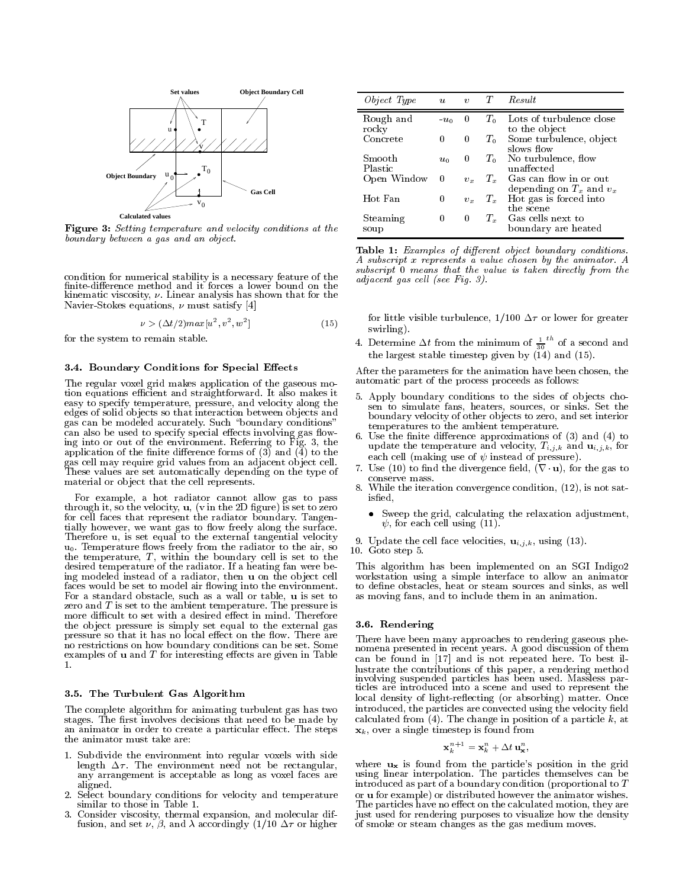

Figure 3: Setting temperature and velocity conditions at the boundary between a gas and an object.

condition for numerical stability is a necessary feature of the finite-difference method and it forces a lower bound on the kinematic viscosity,  $\nu$ . Linear analysis has shown that for the Navier-Stokes equations,  $\nu$  must satisfy [4]

$$
\nu > (\Delta t/2) \max[u^2, v^2, w^2] \tag{15}
$$

for the system to remain stable.

# 3.4. Boundary Conditions for Special Effects

The regular voxel grid makes application of the gaseous motion equations efficient and straightforward. It also makes it easy to specify temperature, pressure, and velocity along the edges of solid ob jects so that interaction between ob jects and gas can be modeled accurately. Such \boundary conditions" can also be used to specify special effects involving gas flowing into or out of the environment. Referring to Fig. 3, the application of the nite dierence forms of (3) and (4) to the gas cell may require grid values from an adjacent ob ject cell. These values are set automatically depending on the type of type of type of type of type of type of type of type of type of type of type of type of type of type of type of type of type of type of type of type of type of t material or ob ject that the cell represents.

For example, a hot radiator cannot allow gas to pass the value of  $\alpha$  is the velocity, which is set the 2D  $\alpha$  is set to zero. for cell faces that represent the radiator boundary. Tangentially however, we want gas to flow freely along the surface. Therefore u, is set equal to the external tangential velocity und. The radiator from the radiator to the radiator to the radiator of the radiator and radiator and radiator the temperature, <sup>T</sup> , within the boundary cellis set to the desired temperature of the radiator. If a heating fan were being modeled instead of a radiator, then **u** on the object cell faces would be set to model air flowing into the environment. For a standard obstacle, such as a wall or table, u is set to zero and  $T$  is set to the ambient temperature. The pressure is more difficult to set with a desired effect in mind. Therefore the ob ject pressure is simply set equal to the external gas pressure so that it has no local effect on the flow. There are no restrictions on how boundary conditions can be set. Some examples of  $\bf{u}$  and  $\bf{T}$  for interesting effects are given in Table  $\mathbf{1}$ .

#### 3.5. The Turbulent Gas Algorithm

The complete algorithm for animating turbulent gas has two stages. The first involves decisions that need to be made by an animator in order to create a particular effect. The steps the animator must take are:

- 1. Subdivide the environment into regular voxels with side length  $\Delta \tau$ . The environment need not be rectangular, any arrangement is acceptable as long as voxel faces are aligned.
- 2. Select boundary conditions for velocity and temperature similar to those in Table 1.
- 3. Consider viscosity, thermal expansion, and molecular diffusion, and set  $\nu$ ,  $\beta$ , and  $\lambda$  accordingly (1/10  $\Delta \tau$  or higher

| <i>Object Type</i> | $\boldsymbol{u}$ | $\boldsymbol{v}$ | T           | Result                                                 |
|--------------------|------------------|------------------|-------------|--------------------------------------------------------|
| Rough and<br>rocky | $-u_0$           | $\theta$         | $T_0$       | Lots of turbulence close<br>to the object              |
| Concrete           | $\left( \right)$ | $\theta$         | $T_0$       | Some turbulence, object<br>slows flow                  |
| Smooth<br>Plast ic | $u_0$            | $\left( \right)$ | $T_{\rm 0}$ | No turbulence, flow<br>unaffected                      |
| Open Window        | $\theta$         | $v_x$            | $T_x$       | Gas can flow in or out<br>depending on $T_x$ and $v_x$ |
| Hot Fan            | 0                | $v_x$            | $T_{x}$     | Hot gas is forced into<br>the scene                    |
| Steaming<br>soup   | $\left( \right)$ | $\theta$         | $T_x$       | Gas cells next to<br>boundary are heated               |

Table 1: Examples of different object boundary conditions. A subscript <sup>x</sup> represents a value chosen by the animator. A subscript  $0$  means that the value is taken directly from the adjacent gas cell (see Fig. 3).

for little visible turbulence,  $1/100 \Delta \tau$  or lower for greater swirling).

4. Determine  $\Delta t$  from the minimum of  $\frac{1}{30}$  of a  $\overline{\phantom{a}}$  of a second and the largest stable timestep given by (14) and (15).

After the parameters for the animation have been chosen, the automatic part of the process proceeds as follows:

- 5. Apply boundary conditions to the sides of ob jects cho sen to simulate fans, heaters, sources, or sinks. Set the boundary velocity of other ob jects to zero, and set interior temperatures to the ambient temperature.
- 6. Use the finite difference approximations of  $(3)$  and  $(4)$  to update the temperature and velocity,  $T_{i,j,k}$  and  $\mathbf{u}_{i,j,k}$ , for each cell (making use of  $\psi$  instead of pressure).
- 7. Use (10) to find the divergence field,  $(\nabla \cdot \mathbf{u})$ , for the gas to conserve mass.
- 8. While the iteration convergence condition, (12), is not satisfied. is a second contract of the second contract of the second contract of the second contract of the second contract of the second contract of the second contract of the second contract of the second contract of the second con
	- Sweep the grid, calculating the relaxation adjustment,  $\psi$ , for each cell using (11).
- 9. Update the cell face velocities,  $\mathbf{u}_{i,j,k}$ , using (13).
- 10. Goto step 5.

This algorithm has been implemented on an SGI Indigo2 workstation using a simple interface to allow an animator to define obstacles, heat or steam sources and sinks, as well as moving fans, and to include them in an animation.

# 3.6. Rendering

There have been many approaches to rendering gaseous phenomena presented in recent years. A good discussion of them can be found in [17] and is not repeated here. To best illustrate the contributions of this paper, a rendering method involving suspended particles has been used. Massless par ticles are introduced into a scene and used to represent the local density of light-reflecting (or absorbing) matter. Once introduced, the particles are convected using the velocity field calculated from  $(4)$ . The change in position of a particle k, at  $\mathbf{x}_k$ , over a single timestep is found from

$$
\mathbf{x}_k^{n+1} = \mathbf{x}_k^n + \Delta t \, \mathbf{u}_\mathbf{x}^n,
$$

where  $\mathbf{u}_{\mathbf{x}}$  is found from the particle's position in the grid using linear interpolation. The particles themselves can be introduced as part of a boundary condition (proportional to <sup>T</sup> or u for example) or distributed however the animator wishes. The particles have no effect on the calculated motion, they are just used for rendering purposes to visualize how the density of smoke or steam changes as the gas medium moves.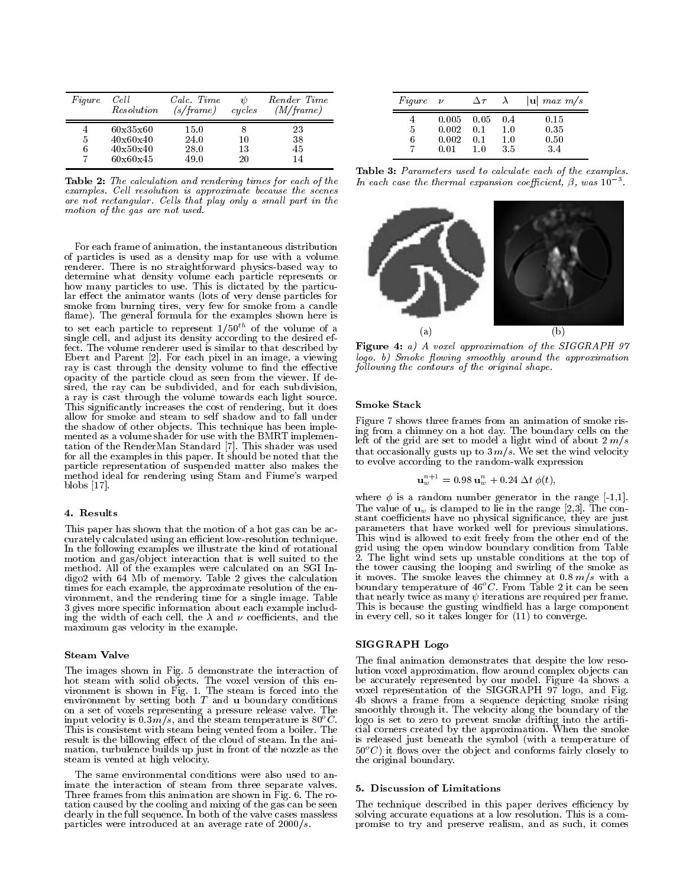| Figure | Cell<br>Resolution | Calc. Time<br>(s/frame) | cycles | Render Time<br>(M/frame) |
|--------|--------------------|-------------------------|--------|--------------------------|
|        | 60x35x60           | 15.0                    |        | 23                       |
| 5      | 40x60x40           | 24.0                    | 10     | 38                       |
| 6      | 40x50x40           | 28.0                    | 13     | 45                       |
|        | 60x60x45           | 49.0                    | 20     |                          |
|        |                    |                         |        |                          |

Table 2: The calculation and rendering times for each of the examples. Cell resolution is approximate because the scenes are not rectangular. Cells that play only a small part in the motion of the gas are not used.

For each frame of animation, the instantaneous distribution of particles is used as a density map for use with a volume renderer. There is no straightforward physics-based way to determine what density volume each particle represents or how many particles to use. This is dictated by the particular effect the animator wants (lots of very dense particles for smoke from burning tires, very few for smoke from a candle ament, and general formula for the examples shown here is  $\sim$ to set each particle to represent  $1/50^{th}$  of the volume of a single cell, and adjust its density according to the desired effect. The volume renderer used is similar to that described by Ebert and Parent [2]. For each pixel in an image, a viewing ray is cast through the density volume to find the effective opacity of the particle cloud as seen from the viewer. If desired, the ray can be subdivided, and for each subdivision, a ray is cast through the volume towards each light source. This significantly increases the cost of rendering, but it does allow for smoke and steam to self shadow and to fall under the shadow of other ob jects. This technique has been imple mented as a volume shader for use with the BMRT implementation of the RenderMan Standard [7]. This shader was used for all the examples in this paper. It should be noted that the particle representation of suspended matter also makes the method ideal for rendering using Stam and Fiume's warped blobs [17].

## 4. Results

This paper has shown that the motion of a hot gas can be accurately calculated using an efficient low-resolution technique. In the following examples we illustrate the kind of rotational motion and gas/ob ject interaction that is well suited to the method. All of the examples were calculated on an SGI Indigo2 with 64 Mb of memory. Table 2 gives the calculation  $\mathcal{U}$  and calculation  $\mathcal{U}$ times for each example, the approximate resolution of the environment, and the rendering time for a single image. Table 3 gives more specic information about each example including the width of each cell, the  $\lambda$  and  $\nu$  coefficients, and the maximum gas velocity in the example.

# Steam Valve

The images shown in Fig. 5 demonstrate the interaction of hot steam with solid ob jects. The voxel version of this en vironment is shown in Fig. 1. The steam is shown in Fig. 1. The steam is forced into the steam into the steam i input velocity is 0.3  $m/s$ , and the steam temperature is 80°C. logo This is consistent with steam being vented from a boiler. The result is the billowing effect of the cloud of steam. In the animation, turbulence builds up just in front of the nozzle as the steam is vented at high velocity.

The same environmental conditions were also used to animate the interaction of steam from three separate valves. Three frames from this animation are shown in Fig. 6. The rotation caused by the cooling and mixing and mixing of the gas can be seen be seen be seen be seen be seen be s clearly in the full sequence. In the value case was the value of the value  $\sim$ particles were introduced at an average rate of  $2000/s$ .

| $Figure \quad \nu$ |                                 | $\Delta \tau$              | $\lambda$                | $ \mathbf{u} $ max $m/s$    |
|--------------------|---------------------------------|----------------------------|--------------------------|-----------------------------|
| 5<br>6             | 0.005<br>0.002<br>0.002<br>በ በ1 | -0.05<br>0.1<br>0.1<br>1.0 | 0.4<br>1.0<br>1.0<br>3.5 | 0.15<br>0.35<br>0.50<br>3.4 |

Table 3: Parameters used to calculate each of the examples. In each case the thermal expansion coefficient,  $\beta$ , was  $10^{-3}$ .



Figure 4: a) A voxel approximation of the SIGGRAPH 97 logo. b) Smoke flowing smoothly around the approximation following the contours of the original shape.

## Smoke Stack

Figure 7 shows three frames from an animation of smoke rising from a chimney on a hot day. The boundary cells on the left of the grid are set to model a light wind of about  $2 \frac{m}{s}$ that occasionally gusts up to  $3 \, m/s$ . We set the wind velocity to evolve according to the random-walk expression

$$
\mathbf{u}_{w}^{n+1} = 0.98 \; \mathbf{u}_{w}^{n} + 0.24 \; \Delta t \; \phi(t),
$$

where  $\phi$  is a random number generator in the range [-1,1]. The value of  $\mathbf{u}_w$  is clamped to lie in the range [2,3]. The constant coefficients have no physical significance, they are just parameters that have worked wellfor previous simulations. This wind is allowed to exit freely from the other end of the grid using the open window boundary condition from Table 2. The light wind sets up unstable conditions at the top of the tower causing the looping and swirling of the smoke as  $\frac{1}{2}$  boundary temperature of  $46^{\circ}$ C. From Table 2 it can be seen that nearly twice as many  $\psi$  iterations are required per frame. This is because the gusting windfield has a large component in every cell, so it takes longer for (11) to converge.

## SIGGRAPH Logo

environment by setting both  $T$  and  $\bf{u}$  boundary conditions 4b shows a frame from a sequence depicting smoke rising on a set of voxels representing a pressure release valve. The smoothly through it. The velocity along The final animation demonstrates that despite the low resolution voxel approximation, flow around complex objects can be accurately represented by our model. Figure 4a shows a voxel representation of the SIGGRAPH 97 logo, and Fig. 4b shows a frame from a sequence depicting smoke rising smoothly through it. The velocity along the boundary of the logo is set to zero to prevent smoke drifting into the arti cial corners created by the approximation. When the smokes is released just beneath the symbol (with a temperature of  $50^{\circ}$  it flows over the object and conforms fairly closely to the original boundary.

# 5. Discussion of Limitations

The technique described in this paper derives efficiency by solving accurate equations at a low resolution. This is a compromise to try and preserve realism, and as such, it comes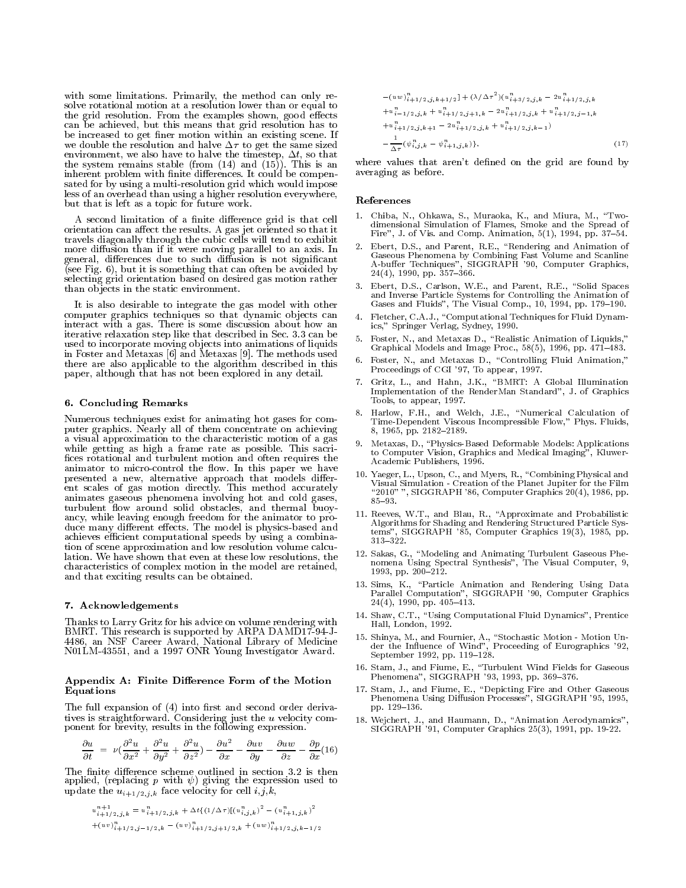with some limitations. Primarily, the method can only re solve rotational motion at a resolution lower than or equal to the grid resolution. From the examples shown, good effects can be achieved, but this means that grid resolution has to be increased to get finer motion within an existing scene. If we double the resolution and halve  $\Delta \tau$  to get the same sized environment, we also have to have the timestep, they the that the timester the system remains stable (from (14) and (14)  $\pm$ inherent problem with finite differences. It could be compensated for by using a multi-resolution grid which would impose less of an overhead than using a higher resolution everywhere, but that is left as a topic for future work.

A second limitation of a finite difference grid is that cell orientation can affect the results. A gas jet oriented so that it travels diagonally through the cubic cells will tend to exhibit more diffusion than if it were moving parallel to an axis. In general, differences due to such diffusion is not significant (see Fig.  $6$ ), but it is something that can often be avoided by selecting grid orientation based on desired gas motion rather than ob jects in the static environment.

It is also desirable to integrate the gas model with other computer graphics techniques so that dynamic objects can 4. Fletcher, C.A.J., "Computational Techniques for Fluid Dynaminteract with a gas. There is some discussion about how an iterative relaxation step like that described in Sec. 3.3 can be used to incorporate moving ob jects into animations of liquids in Foster and Metaxas [6] and Metaxas [9]. The methods used there are also applicable to the algorithm described in this paper, although that has not been explored in any detail.

## 6. Concluding Remarks

Numerous techniques exist for animating hot gases for computer graphics. Nearly all of them concentrate on achieving a visual approximation to the characteristic motion of a gas while getting as high a frame rate as possible. This sacri fices rotational and turbulent motion and often requires the animator to micro-control the flow. In this paper we have presented a new, alternative approach that models different scales of gas motion directly. This method accurately animates gaseous phenomena involving hot and cold gases, turbulent  $\mathbf{0}$  around solid obstacles, and thermal buoy-solid obstacles, and thermal buoy-solid observed  $\mathbf{0}$ ancy, while leaving enough freedom for the animator to produce many different effects. The model is physics-based and achieves efficient computational speeds by using a combination of scene approximation and low resolution volume calculation. We have shown that even at these low resolutions, the characteristics of complex motion in the model are retained, and that exciting results can be obtained.

#### 7. Acknowledgements

Thanks to Larry Gritz for his advice on volume rendering with BMRT. This research is supported by ARPA DAMD17-94-J-4486, an NSF Career Award, National Library of Medicine N01LM-43551, and a 1997 ONR Young Investigator Award.

#### Appendix A: Finite Difference Form of the Motion Equations

The full expansion of  $(4)$  into first and second order deriva $t$  is straightforward. Considering  $\mathcal{L}$  just the use  $\mathcal{L}$  the useful velocity component for brevity, results in the following expression.

$$
\frac{\partial u}{\partial t} = \nu(\frac{\partial^2 u}{\partial x^2} + \frac{\partial^2 u}{\partial y^2} + \frac{\partial^2 u}{\partial z^2}) - \frac{\partial u^2}{\partial x} - \frac{\partial uv}{\partial y} - \frac{\partial uw}{\partial z} - \frac{\partial p}{\partial x}(16)
$$

The finite difference scheme outlined in section 3.2 is then applied, (replacing p with  $\psi$ ) giving the expression used to update the  $u_{i+1/2,j,k}$  face velocity for cell  $i,j,k$ ,

$$
u_{i+1/2,j,k}^{n+1} = u_{i+1/2,j,k}^{n} + \Delta t \{ (1/\Delta \tau) [(u_{i,j,k}^{n})^2 - (u_{i+1,j,k}^{n})^2
$$
  
+ $(uv)_{i+1/2,j-1/2,k}^{n} - (uv)_{i+1/2,j+1/2,k}^{n} + (uw)_{i+1/2,j,k-1/2}^{n})$ 

$$
-(uw)^{n+1}_{i+1/2,j,k+1/2} + (\lambda/\Delta\tau^{2})(u^{n}_{i+3/2,j,k} - 2u^{n}_{i+1/2,j,k} +u^{n}_{i-1/2,j,k} + u^{n}_{i+1/2,j+1,k} - 2u^{n}_{i+1/2,j,k} + u^{n}_{i+1/2,j-1,k} +u^{n}_{i+1/2,j,k+1} - 2u^{n}_{i+1/2,j,k} + u^{n}_{i+1/2,j,k-1}) - \frac{1}{\Delta\tau}(\psi^{n}_{i,j,k} - \psi^{n}_{i+1,j,k}) \},
$$
\n(17)

where values that aren't defined on the grid are found by averaging as before.

#### References

- Chiba, N., Ohkawa, S., Muraoka, K., and Miura, M., "Twodimensional Simulation of Flames, Smoke and the Spread of Fire", J. of Vis. and Comp. Animation,  $5(1)$ , 1994, pp. 37-54.
- $2.$  Ebert, D.S., and Parent, R.S., and Parent, R.E.,  $\mathbf{R}$ A-buffer Techniques", SIGGRAPH '90, Computer Graphics,  $24(4)$ , 1990, pp. 357–366.
- 3. Ebert, D.S., Carlson, W.E., and Parent, R.E., "Solid Spaces Gases and Fluids", The Visual Comp., 10, 1994, pp. 179–190.
- $\blacksquare$  for Fletcher, C.A.,  $\blacksquare$  Techniques for Fluid Dynamics  $\blacksquare$  Dynamics  $\blacksquare$ ics," Springer Verlag, Sydney, 1990.
- 5. Foster, N., and Metaxas D., "Realistic Animation of Liquids," Graphical Models and Image Proc., 58(5), 1996, pp. 471–483.
- 6. Foster, N., and Metaxas D., "Controlling Fluid Animation," Proceedings of CGI '97, To appear, 1997.
- 7. Gritz, L., and Hahn, J.K., \BMRT: A GlobalIllumination Implementation of the RenderMan Standard", J. of Graphics Tools, to appear, 1997.
- Harlow, F.H., and Welch, J.E., "Numerical Calculation of Time-Dependent Viscous Incompressible Flow," Phys. Fluids, 8, 1965, pp. 2182-2189.
- Metaxas, D., "Physics-Based Deformable Models: Applications to Computer Vision, Graphics and Medical Imaging", Kluwer- Academic Publishers, 1996.
- Visual Simulation Creation of the Planet Jupiter for the Film \2010" ", SIGGRAPH '86, Computer Graphics 20(4), 1986, pp.  $85{-}93.$
- 11. Reeves, W.T., and Blau, R., \Approximate and Probabilistic Algorithms for Shading and Rendering Structured Particle Systems", SIGGRAPH '85, Computer Graphics 19(3), 1985, pp. 313-322.
- 12. Sakas, G., "Modeling and Animating Turbulent Gaseous Phe- $1993, pp. 200-212.$  The Visual Computer,  $993, pp. 200-212.$
- Parallel Computation", SIGGRAPH '90, Computer Graphics  $24(4)$ , 1990, pp. 405-413.
- 14. Shaw, C.T., \Using Computational Fluid Dynamics", Prentice Hall, London, 1992.
- der the Influence of Wind", Proceeding of Eurographics '92, september 1992, pp. 119. 119. 1
- 16. Stam, J., and Fiume, E., \Turbulent Wind Fields for Gaseous Phenomena", SIGGRAPH '93, 1993, pp. 369-376.
- 17. Stam, J., and Fiume, E., \Depicting Fire and Other Gaseous Phenomena Using Diffusion Processes", SIGGRAPH '95, 1995, pp. 129-136.
- 18. Wejchert, J., and Haumann, D., "Animation Aerodynamics", SIGGRAPH '91, Computer Graphics 25(3), 1991, pp. 19-22.